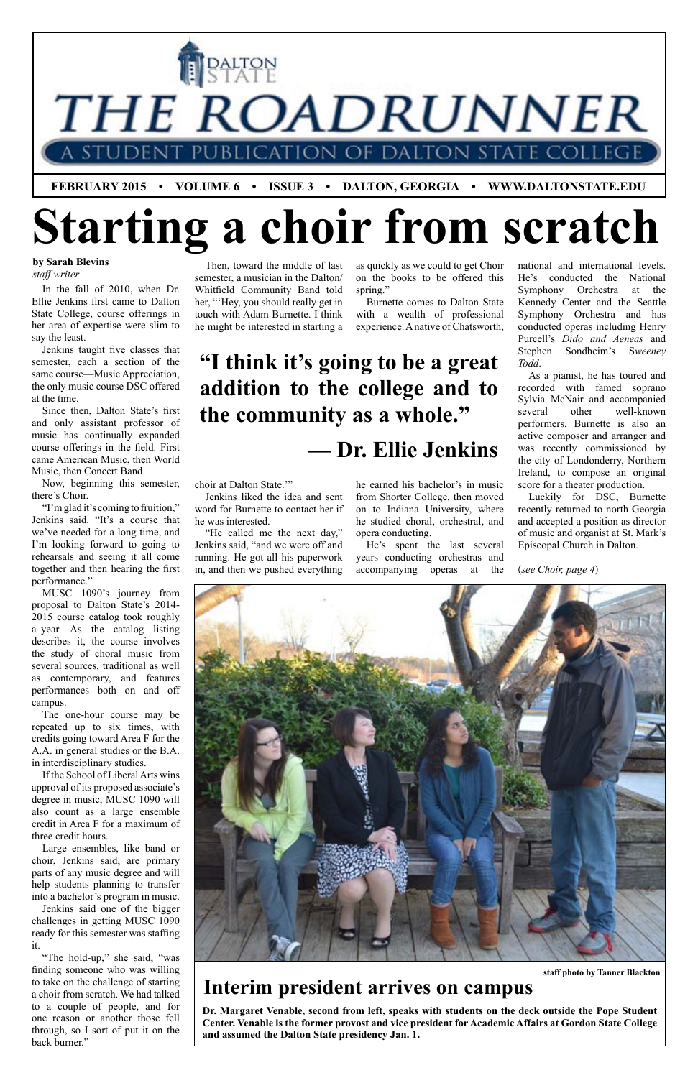

#### **by Sarah Blevins**

*staff writer*

(*see Choir, page 4*)



In the fall of 2010, when Dr. Ellie Jenkins first came to Dalton State College, course offerings in her area of expertise were slim to say the least.

Jenkins taught five classes that semester, each a section of the same course—Music Appreciation, the only music course DSC offered at the time.

Since then, Dalton State's first and only assistant professor of music has continually expanded course offerings in the field. First came American Music, then World Music, then Concert Band.

Now, beginning this semester, there's Choir.

"I'm glad it's coming to fruition," Jenkins said. "It's a course that we've needed for a long time, and I'm looking forward to going to rehearsals and seeing it all come together and then hearing the first performance."

MUSC 1090's journey from proposal to Dalton State's 2014- 2015 course catalog took roughly a year. As the catalog listing describes it, the course involves the study of choral music from several sources, traditional as well as contemporary, and features performances both on and off campus.

The one-hour course may be repeated up to six times, with credits going toward Area F for the A.A. in general studies or the B.A. in interdisciplinary studies.

If the School of Liberal Arts wins approval of its proposed associate's degree in music, MUSC 1090 will also count as a large ensemble credit in Area F for a maximum of three credit hours. Large ensembles, like band or choir, Jenkins said, are primary parts of any music degree and will help students planning to transfer into a bachelor's program in music. Jenkins said one of the bigger challenges in getting MUSC 1090 ready for this semester was staffing it. "The hold-up," she said, "was finding someone who was willing to take on the challenge of starting a choir from scratch. We had talked to a couple of people, and for one reason or another those fell through, so I sort of put it on the back burner."

**Dr. Margaret Venable, second from left, speaks with students on the deck outside the Pope Student Center. Venable is the former provost and vice president for Academic Affairs at Gordon State College and assumed the Dalton State presidency Jan. 1.**

as quickly as we could to get Choir on the books to be offered this spring."

Burnette comes to Dalton State with a wealth of professional experience. A native of Chatsworth,

he earned his bachelor's in music from Shorter College, then moved on to Indiana University, where he studied choral, orchestral, and opera conducting.

He's spent the last several years conducting orchestras and accompanying operas at the

national and international levels. He's conducted the National Symphony Orchestra at the Kennedy Center and the Seattle Symphony Orchestra and has conducted operas including Henry Purcell's *Dido and Aeneas* and Stephen Sondheim's S*weeney Todd*.

As a pianist, he has toured and recorded with famed soprano Sylvia McNair and accompanied several other well-known performers. Burnette is also an active composer and arranger and was recently commissioned by the city of Londonderry, Northern Ireland, to compose an original score for a theater production.

Luckily for DSC, Burnette recently returned to north Georgia and accepted a position as director of music and organist at St. Mark's Episcopal Church in Dalton.

### **Interim president arrives on campus**

**staff photo by Tanner Blackton**

Then, toward the middle of last semester, a musician in the Dalton/ Whitfield Community Band told her, "'Hey, you should really get in touch with Adam Burnette. I think he might be interested in starting a

choir at Dalton State.'"

Jenkins liked the idea and sent word for Burnette to contact her if he was interested.

"He called me the next day," Jenkins said, "and we were off and running. He got all his paperwork in, and then we pushed everything

## **"I think it's going to be a great addition to the college and to the community as a whole."**

## **— Dr. Ellie Jenkins**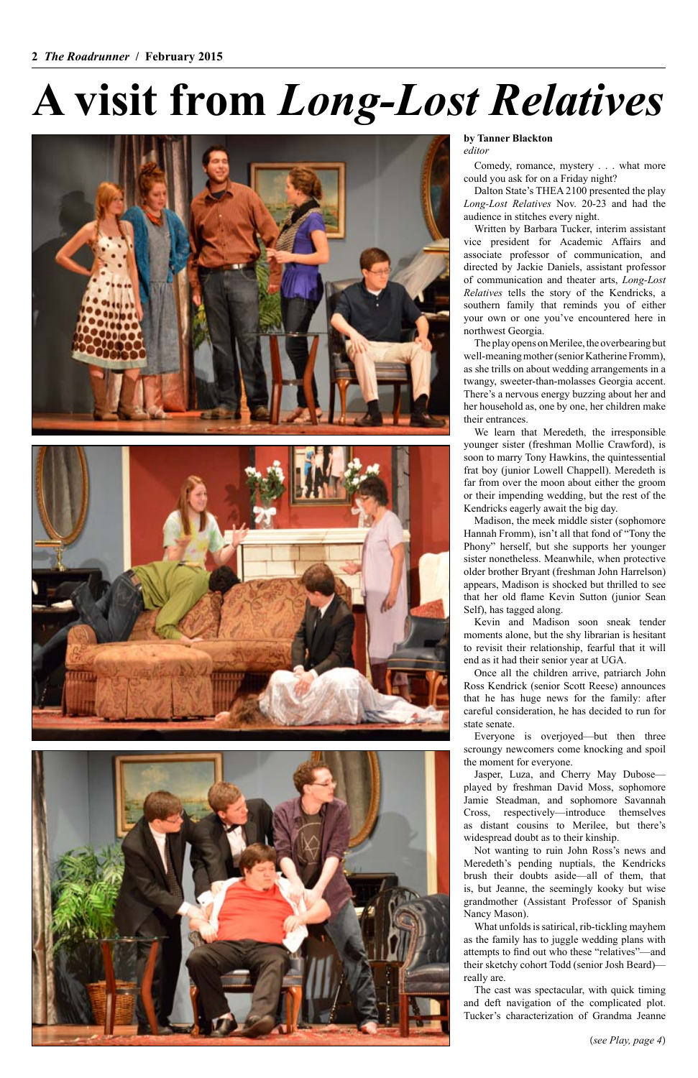Comedy, romance, mystery . . . what more could you ask for on a Friday night?

Dalton State's THEA 2100 presented the play *Long-Lost Relatives* Nov. 20-23 and had the audience in stitches every night.

Written by Barbara Tucker, interim assistant vice president for Academic Affairs and associate professor of communication, and directed by Jackie Daniels, assistant professor of communication and theater arts, *Long-Lost Relatives* tells the story of the Kendricks, a southern family that reminds you of either your own or one you've encountered here in northwest Georgia.

The play opens on Merilee, the overbearing but well-meaning mother (senior Katherine Fromm), as she trills on about wedding arrangements in a twangy, sweeter-than-molasses Georgia accent. There's a nervous energy buzzing about her and her household as, one by one, her children make their entrances.

We learn that Meredeth, the irresponsible younger sister (freshman Mollie Crawford), is soon to marry Tony Hawkins, the quintessential frat boy (junior Lowell Chappell). Meredeth is far from over the moon about either the groom or their impending wedding, but the rest of the Kendricks eagerly await the big day.

Madison, the meek middle sister (sophomore Hannah Fromm), isn't all that fond of "Tony the Phony" herself, but she supports her younger sister nonetheless. Meanwhile, when protective older brother Bryant (freshman John Harrelson) appears, Madison is shocked but thrilled to see that her old flame Kevin Sutton (junior Sean Self), has tagged along.

Kevin and Madison soon sneak tender moments alone, but the shy librarian is hesitant to revisit their relationship, fearful that it will end as it had their senior year at UGA.

Once all the children arrive, patriarch John Ross Kendrick (senior Scott Reese) announces that he has huge news for the family: after careful consideration, he has decided to run for state senate.

Everyone is overjoyed—but then three scroungy newcomers come knocking and spoil the moment for everyone.

Jasper, Luza, and Cherry May Dubose played by freshman David Moss, sophomore Jamie Steadman, and sophomore Savannah Cross, respectively—introduce themselves as distant cousins to Merilee, but there's widespread doubt as to their kinship. Not wanting to ruin John Ross's news and Meredeth's pending nuptials, the Kendricks brush their doubts aside—all of them, that is, but Jeanne, the seemingly kooky but wise grandmother (Assistant Professor of Spanish Nancy Mason). What unfolds is satirical, rib-tickling mayhem as the family has to juggle wedding plans with attempts to find out who these "relatives"—and their sketchy cohort Todd (senior Josh Beard) really are.

The cast was spectacular, with quick timing and deft navigation of the complicated plot. Tucker's characterization of Grandma Jeanne

# **A visit from** *Long-Lost Relatives*







#### **by Tanner Blackton** *editor*

(*see Play, page 4*)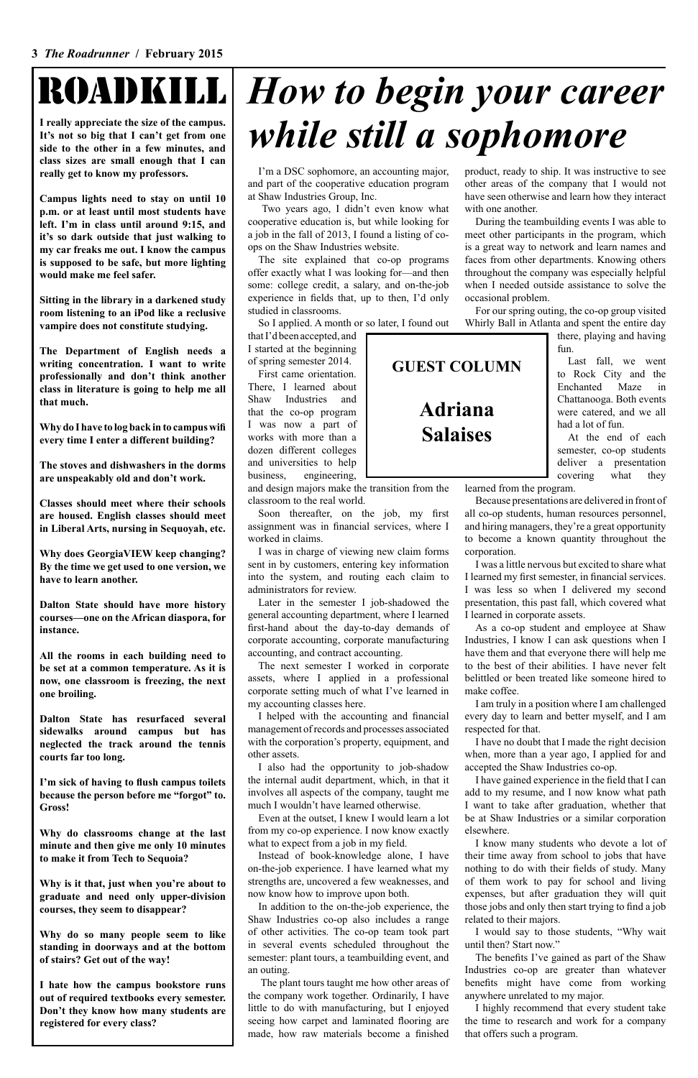## ROADKILL

**I really appreciate the size of the campus. It's not so big that I can't get from one side to the other in a few minutes, and class sizes are small enough that I can really get to know my professors.**

**Campus lights need to stay on until 10 p.m. or at least until most students have left. I'm in class until around 9:15, and it's so dark outside that just walking to my car freaks me out. I know the campus is supposed to be safe, but more lighting would make me feel safer.**

**Sitting in the library in a darkened study room listening to an iPod like a reclusive vampire does not constitute studying.**

**The Department of English needs a writing concentration. I want to write professionally and don't think another class in literature is going to help me all that much.**

**Why do I have to log back in to campus wifi every time I enter a different building?**

**The stoves and dishwashers in the dorms are unspeakably old and don't work.**

**Classes should meet where their schools are housed. English classes should meet in Liberal Arts, nursing in Sequoyah, etc.**

**Why does GeorgiaVIEW keep changing? By the time we get used to one version, we have to learn another.**

**Dalton State should have more history courses—one on the African diaspora, for instance.**

**All the rooms in each building need to be set at a common temperature. As it is now, one classroom is freezing, the next one broiling.**

**Dalton State has resurfaced several sidewalks around campus but has neglected the track around the tennis courts far too long.**

**I'm sick of having to flush campus toilets because the person before me "forgot" to. Gross!**

**Why do classrooms change at the last minute and then give me only 10 minutes to make it from Tech to Sequoia?**

**Why is it that, just when you're about to graduate and need only upper-division courses, they seem to disappear?**

**Why do so many people seem to like standing in doorways and at the bottom of stairs? Get out of the way!**

**I hate how the campus bookstore runs out of required textbooks every semester. Don't they know how many students are registered for every class?**

I'm a DSC sophomore, an accounting major, and part of the cooperative education program at Shaw Industries Group, Inc.

Two years ago, I didn't even know what cooperative education is, but while looking for a job in the fall of 2013, I found a listing of coops on the Shaw Industries website.

The site explained that co-op programs offer exactly what I was looking for—and then some: college credit, a salary, and on-the-job experience in fields that, up to then, I'd only studied in classrooms.

So I applied. A month or so later, I found out

that I'd been accepted, and I started at the beginning of spring semester 2014.

First came orientation. There, I learned about Shaw Industries and that the co-op program I was now a part of works with more than a dozen different colleges and universities to help business, engineering,

and design majors make the transition from the classroom to the real world.

Soon thereafter, on the job, my first assignment was in financial services, where I worked in claims.

I was in charge of viewing new claim forms sent in by customers, entering key information into the system, and routing each claim to administrators for review.

Later in the semester I job-shadowed the general accounting department, where I learned first-hand about the day-to-day demands of corporate accounting, corporate manufacturing accounting, and contract accounting.

The next semester I worked in corporate assets, where I applied in a professional corporate setting much of what I've learned in my accounting classes here.

I helped with the accounting and financial management of records and processes associated with the corporation's property, equipment, and other assets.

I also had the opportunity to job-shadow the internal audit department, which, in that it involves all aspects of the company, taught me much I wouldn't have learned otherwise.

Even at the outset, I knew I would learn a lot from my co-op experience. I now know exactly what to expect from a job in my field.

Instead of book-knowledge alone, I have on-the-job experience. I have learned what my strengths are, uncovered a few weaknesses, and now know how to improve upon both.

In addition to the on-the-job experience, the Shaw Industries co-op also includes a range of other activities. The co-op team took part in several events scheduled throughout the semester: plant tours, a teambuilding event, and an outing.

 The plant tours taught me how other areas of the company work together. Ordinarily, I have little to do with manufacturing, but I enjoyed seeing how carpet and laminated flooring are made, how raw materials become a finished

## *How to begin your career while still a sophomore*

product, ready to ship. It was instructive to see other areas of the company that I would not have seen otherwise and learn how they interact with one another.

During the teambuilding events I was able to meet other participants in the program, which is a great way to network and learn names and faces from other departments. Knowing others throughout the company was especially helpful when I needed outside assistance to solve the occasional problem.

For our spring outing, the co-op group visited Whirly Ball in Atlanta and spent the entire day

there, playing and having fun.

Last fall, we went to Rock City and the Enchanted Maze in Chattanooga. Both events were catered, and we all had a lot of fun.

At the end of each semester, co-op students deliver a presentation covering what they

learned from the program.

Because presentations are delivered in front of all co-op students, human resources personnel, and hiring managers, they're a great opportunity to become a known quantity throughout the corporation.

I was a little nervous but excited to share what I learned my first semester, in financial services. I was less so when I delivered my second presentation, this past fall, which covered what I learned in corporate assets.

As a co-op student and employee at Shaw Industries, I know I can ask questions when I have them and that everyone there will help me to the best of their abilities. I have never felt belittled or been treated like someone hired to make coffee.

I am truly in a position where I am challenged every day to learn and better myself, and I am respected for that.

I have no doubt that I made the right decision when, more than a year ago, I applied for and accepted the Shaw Industries co-op.

I have gained experience in the field that I can add to my resume, and I now know what path I want to take after graduation, whether that be at Shaw Industries or a similar corporation elsewhere. I know many students who devote a lot of their time away from school to jobs that have nothing to do with their fields of study. Many of them work to pay for school and living expenses, but after graduation they will quit those jobs and only then start trying to find a job related to their majors.

I would say to those students, "Why wait until then? Start now."

The benefits I've gained as part of the Shaw Industries co-op are greater than whatever benefits might have come from working anywhere unrelated to my major.

I highly recommend that every student take the time to research and work for a company that offers such a program.